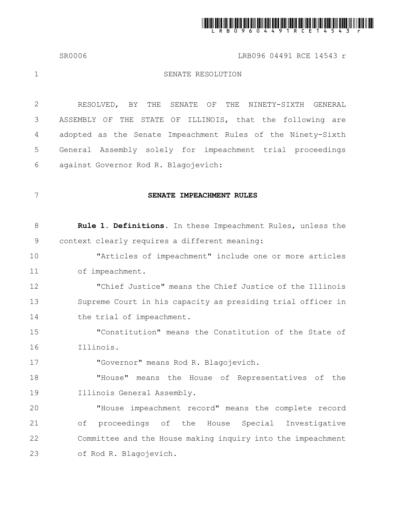

SR0006 **LRB096 04491 RCE 14543 r** 

1

# SENATE RESOLUTION

RESOLVED, BY THE SENATE OF THE NINETY-SIXTH GENERAL ASSEMBLY OF THE STATE OF ILLINOIS, that the following are adopted as the Senate Impeachment Rules of the Ninety-Sixth General Assembly solely for impeachment trial proceedings against Governor Rod R. Blagojevich: 2 3 4 5 6

7

17

# **SENATE IMPEACHMENT RULES**

| Rule 1. Definitions. In these Impeachment Rules, unless the |  |  |  |
|-------------------------------------------------------------|--|--|--|
| context clearly requires a different meaning:               |  |  |  |

"Articles of impeachment" include one or more articles of impeachment. 10 11

"Chief Justice" means the Chief Justice of the Illinois Supreme Court in his capacity as presiding trial officer in the trial of impeachment. 12 13 14

"Constitution" means the Constitution of the State of Illinois. 15 16

"Governor" means Rod R. Blagojevich.

"House" means the House of Representatives of the Illinois General Assembly. 18 19

"House impeachment record" means the complete record of proceedings of the House Special Investigative Committee and the House making inquiry into the impeachment of Rod R. Blagojevich. 20 21 22 23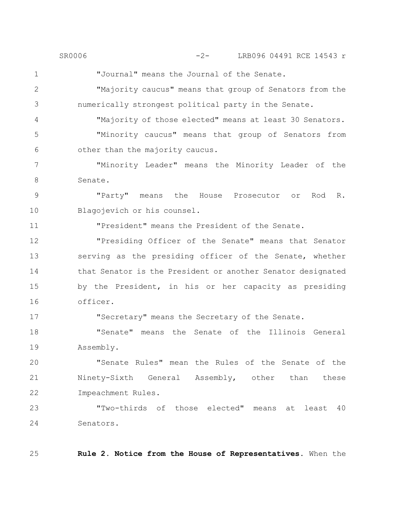"Journal" means the Journal of the Senate. SR0006 -2- LRB096 04491 RCE 14543 r

"Majority caucus" means that group of Senators from the numerically strongest political party in the Senate. 2 3

"Majority of those elected" means at least 30 Senators. "Minority caucus" means that group of Senators from other than the majority caucus. 4 5 6

"Minority Leader" means the Minority Leader of the Senate. 7 8

"Party" means the House Prosecutor or Rod R. Blagojevich or his counsel. 9 10

"President" means the President of the Senate.

"Presiding Officer of the Senate" means that Senator serving as the presiding officer of the Senate, whether that Senator is the President or another Senator designated by the President, in his or her capacity as presiding officer. 12 13 14 15 16

"Secretary" means the Secretary of the Senate.

"Senate" means the Senate of the Illinois General Assembly. 18 19

"Senate Rules" mean the Rules of the Senate of the Ninety-Sixth General Assembly, other than these Impeachment Rules. 20 21 22

"Two-thirds of those elected" means at least 40 Senators. 23 24

25

1

11

17

**Rule 2. Notice from the House of Representatives.** When the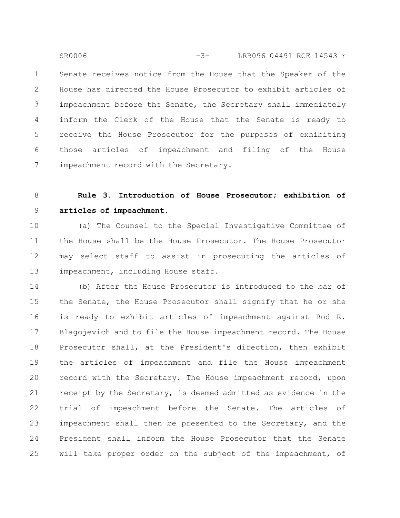Senate receives notice from the House that the Speaker of the House has directed the House Prosecutor to exhibit articles of impeachment before the Senate, the Secretary shall immediately inform the Clerk of the House that the Senate is ready to receive the House Prosecutor for the purposes of exhibiting those articles of impeachment and filing of the House impeachment record with the Secretary. 1 2 3 4 5 6 7 SR0006 -3- LRB096 04491 RCE 14543 r

#### **Rule 3. Introduction of House Prosecutor; exhibition of articles of impeachment.** 8 9

(a) The Counsel to the Special Investigative Committee of the House shall be the House Prosecutor. The House Prosecutor may select staff to assist in prosecuting the articles of impeachment, including House staff. 10 11 12 13

(b) After the House Prosecutor is introduced to the bar of the Senate, the House Prosecutor shall signify that he or she is ready to exhibit articles of impeachment against Rod R. Blagojevich and to file the House impeachment record. The House Prosecutor shall, at the President's direction, then exhibit the articles of impeachment and file the House impeachment record with the Secretary. The House impeachment record, upon receipt by the Secretary, is deemed admitted as evidence in the trial of impeachment before the Senate. The articles of impeachment shall then be presented to the Secretary, and the President shall inform the House Prosecutor that the Senate will take proper order on the subject of the impeachment, of 14 15 16 17 18 19 20 21 22 23 24 25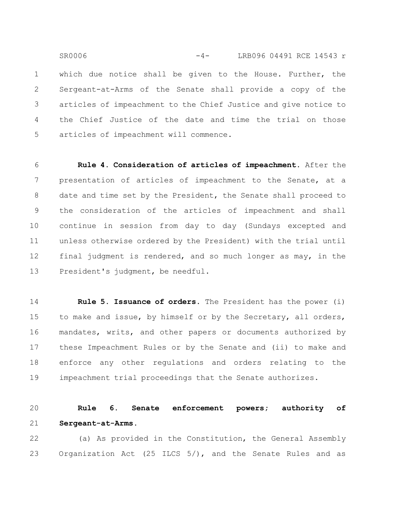which due notice shall be given to the House. Further, the Sergeant-at-Arms of the Senate shall provide a copy of the articles of impeachment to the Chief Justice and give notice to the Chief Justice of the date and time the trial on those articles of impeachment will commence. 1 2 3 4 5 SR0006 -4- LRB096 04491 RCE 14543 r

**Rule 4. Consideration of articles of impeachment.** After the presentation of articles of impeachment to the Senate, at a date and time set by the President, the Senate shall proceed to the consideration of the articles of impeachment and shall continue in session from day to day (Sundays excepted and unless otherwise ordered by the President) with the trial until final judgment is rendered, and so much longer as may, in the President's judgment, be needful. 6 7 8 9 10 11 12 13

**Rule 5. Issuance of orders.** The President has the power (i) to make and issue, by himself or by the Secretary, all orders, mandates, writs, and other papers or documents authorized by these Impeachment Rules or by the Senate and (ii) to make and enforce any other regulations and orders relating to the impeachment trial proceedings that the Senate authorizes. 14 15 16 17 18 19

**Rule 6. Senate enforcement powers; authority of Sergeant-at-Arms.** 20 21

(a) As provided in the Constitution, the General Assembly Organization Act (25 ILCS 5/), and the Senate Rules and as 22 23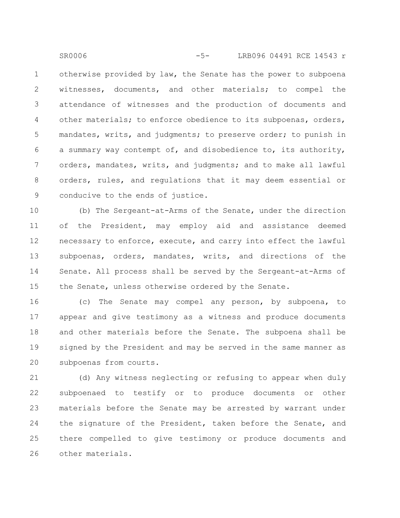otherwise provided by law, the Senate has the power to subpoena witnesses, documents, and other materials; to compel the attendance of witnesses and the production of documents and other materials; to enforce obedience to its subpoenas, orders, mandates, writs, and judgments; to preserve order; to punish in a summary way contempt of, and disobedience to, its authority, orders, mandates, writs, and judgments; and to make all lawful orders, rules, and regulations that it may deem essential or conducive to the ends of justice. 1 2 3 4 5 6 7 8 9 SR0006 -5- LRB096 04491 RCE 14543 r

(b) The Sergeant-at-Arms of the Senate, under the direction of the President, may employ aid and assistance deemed necessary to enforce, execute, and carry into effect the lawful subpoenas, orders, mandates, writs, and directions of the Senate. All process shall be served by the Sergeant-at-Arms of the Senate, unless otherwise ordered by the Senate. 10 11 12 13 14 15

(c) The Senate may compel any person, by subpoena, to appear and give testimony as a witness and produce documents and other materials before the Senate. The subpoena shall be signed by the President and may be served in the same manner as subpoenas from courts. 16 17 18 19 20

(d) Any witness neglecting or refusing to appear when duly subpoenaed to testify or to produce documents or other materials before the Senate may be arrested by warrant under the signature of the President, taken before the Senate, and there compelled to give testimony or produce documents and other materials. 21 22 23 24 25 26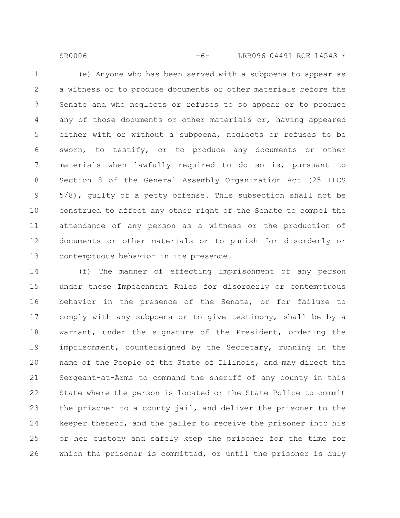(e) Anyone who has been served with a subpoena to appear as a witness or to produce documents or other materials before the Senate and who neglects or refuses to so appear or to produce any of those documents or other materials or, having appeared either with or without a subpoena, neglects or refuses to be sworn, to testify, or to produce any documents or other materials when lawfully required to do so is, pursuant to Section 8 of the General Assembly Organization Act (25 ILCS 5/8), guilty of a petty offense. This subsection shall not be construed to affect any other right of the Senate to compel the attendance of any person as a witness or the production of

SR0006 -6- LRB096 04491 RCE 14543 r

1

2

3

4

5

6

7

8

9

10

documents or other materials or to punish for disorderly or contemptuous behavior in its presence. 11 12 13

(f) The manner of effecting imprisonment of any person under these Impeachment Rules for disorderly or contemptuous behavior in the presence of the Senate, or for failure to comply with any subpoena or to give testimony, shall be by a warrant, under the signature of the President, ordering the imprisonment, countersigned by the Secretary, running in the name of the People of the State of Illinois, and may direct the Sergeant-at-Arms to command the sheriff of any county in this State where the person is located or the State Police to commit the prisoner to a county jail, and deliver the prisoner to the keeper thereof, and the jailer to receive the prisoner into his or her custody and safely keep the prisoner for the time for which the prisoner is committed, or until the prisoner is duly 14 15 16 17 18 19 20 21 22 23 24 25 26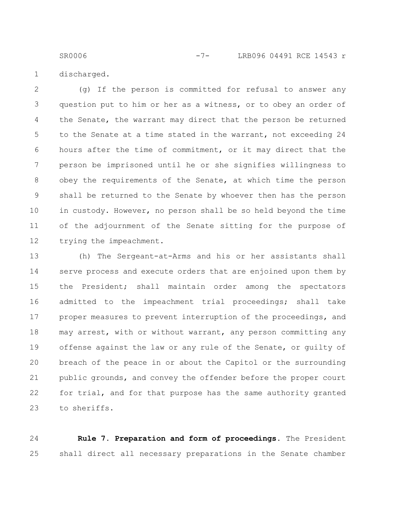SR0006 -7- LRB096 04491 RCE 14543 r

discharged. 1

(g) If the person is committed for refusal to answer any question put to him or her as a witness, or to obey an order of the Senate, the warrant may direct that the person be returned to the Senate at a time stated in the warrant, not exceeding 24 hours after the time of commitment, or it may direct that the person be imprisoned until he or she signifies willingness to obey the requirements of the Senate, at which time the person shall be returned to the Senate by whoever then has the person in custody. However, no person shall be so held beyond the time of the adjournment of the Senate sitting for the purpose of trying the impeachment. 2 3 4 5 6 7 8 9 10 11 12

(h) The Sergeant-at-Arms and his or her assistants shall serve process and execute orders that are enjoined upon them by the President; shall maintain order among the spectators admitted to the impeachment trial proceedings; shall take proper measures to prevent interruption of the proceedings, and may arrest, with or without warrant, any person committing any offense against the law or any rule of the Senate, or guilty of breach of the peace in or about the Capitol or the surrounding public grounds, and convey the offender before the proper court for trial, and for that purpose has the same authority granted to sheriffs. 13 14 15 16 17 18 19 20 21 22 23

**Rule 7. Preparation and form of proceedings.** The President shall direct all necessary preparations in the Senate chamber 24 25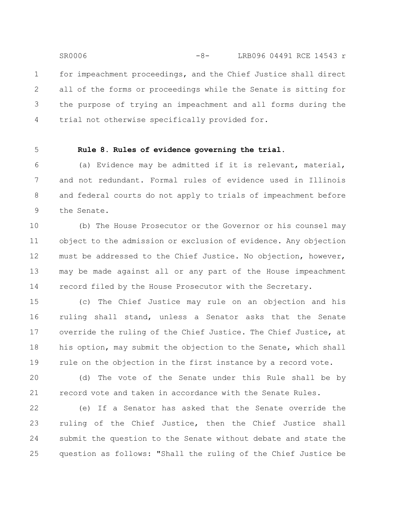for impeachment proceedings, and the Chief Justice shall direct all of the forms or proceedings while the Senate is sitting for the purpose of trying an impeachment and all forms during the trial not otherwise specifically provided for. 1 2 3 4 -8-SR0006 LRB096 04491 RCE 14543 r

5

# **Rule 8. Rules of evidence governing the trial.**

(a) Evidence may be admitted if it is relevant, material, and not redundant. Formal rules of evidence used in Illinois and federal courts do not apply to trials of impeachment before the Senate. 6 7 8 9

(b) The House Prosecutor or the Governor or his counsel may object to the admission or exclusion of evidence. Any objection must be addressed to the Chief Justice. No objection, however, may be made against all or any part of the House impeachment record filed by the House Prosecutor with the Secretary. 10 11 12 13 14

(c) The Chief Justice may rule on an objection and his ruling shall stand, unless a Senator asks that the Senate override the ruling of the Chief Justice. The Chief Justice, at his option, may submit the objection to the Senate, which shall rule on the objection in the first instance by a record vote. 15 16 17 18 19

(d) The vote of the Senate under this Rule shall be by record vote and taken in accordance with the Senate Rules. 20 21

(e) If a Senator has asked that the Senate override the ruling of the Chief Justice, then the Chief Justice shall submit the question to the Senate without debate and state the question as follows: "Shall the ruling of the Chief Justice be 22 23 24 25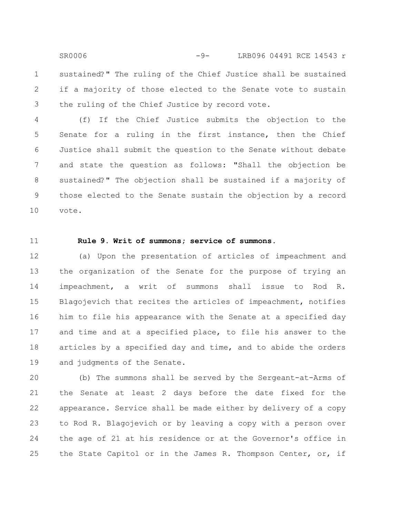sustained?" The ruling of the Chief Justice shall be sustained if a majority of those elected to the Senate vote to sustain the ruling of the Chief Justice by record vote. 1 SR0006 -9- LRB096 04491 RCE 14543 r

(f) If the Chief Justice submits the objection to the Senate for a ruling in the first instance, then the Chief Justice shall submit the question to the Senate without debate and state the question as follows: "Shall the objection be sustained?" The objection shall be sustained if a majority of those elected to the Senate sustain the objection by a record vote. 4 5 6 7 8 9 10

11

2

3

# **Rule 9. Writ of summons; service of summons.**

(a) Upon the presentation of articles of impeachment and the organization of the Senate for the purpose of trying an impeachment, a writ of summons shall issue to Rod R. Blagojevich that recites the articles of impeachment, notifies him to file his appearance with the Senate at a specified day and time and at a specified place, to file his answer to the articles by a specified day and time, and to abide the orders and judgments of the Senate. 12 13 14 15 16 17 18 19

(b) The summons shall be served by the Sergeant-at-Arms of the Senate at least 2 days before the date fixed for the appearance. Service shall be made either by delivery of a copy to Rod R. Blagojevich or by leaving a copy with a person over the age of 21 at his residence or at the Governor's office in the State Capitol or in the James R. Thompson Center, or, if 20 21 22 23 24 25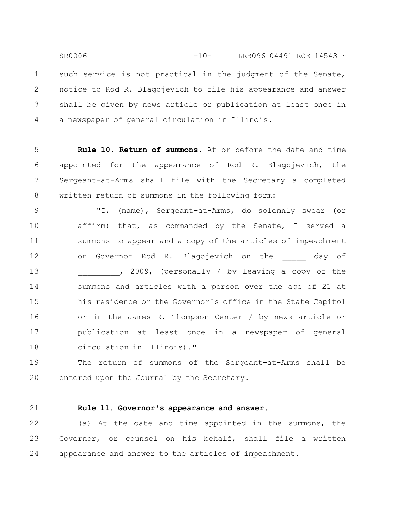such service is not practical in the judgment of the Senate, notice to Rod R. Blagojevich to file his appearance and answer shall be given by news article or publication at least once in a newspaper of general circulation in Illinois. 1 2 3 4 SR0006 -10- LRB096 04491 RCE 14543 r

**Rule 10. Return of summons.** At or before the date and time appointed for the appearance of Rod R. Blagojevich, the Sergeant-at-Arms shall file with the Secretary a completed written return of summons in the following form: 5 6 7 8

"I, (name), Sergeant-at-Arms, do solemnly swear (or affirm) that, as commanded by the Senate, I served a summons to appear and a copy of the articles of impeachment on Governor Rod R. Blagojevich on the any of , 2009, (personally / by leaving a copy of the summons and articles with a person over the age of 21 at his residence or the Governor's office in the State Capitol or in the James R. Thompson Center / by news article or publication at least once in a newspaper of general circulation in Illinois)." 9 10 11 12 13 14 15 16 17 18

The return of summons of the Sergeant-at-Arms shall be entered upon the Journal by the Secretary. 19 20

21

# **Rule 11. Governor's appearance and answer.**

(a) At the date and time appointed in the summons, the Governor, or counsel on his behalf, shall file a written appearance and answer to the articles of impeachment. 22 23 24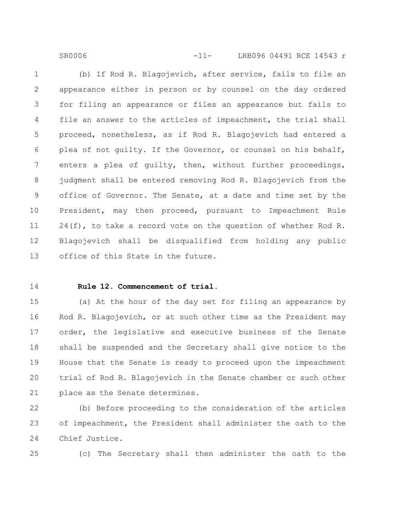(b) If Rod R. Blagojevich, after service, fails to file an appearance either in person or by counsel on the day ordered for filing an appearance or files an appearance but fails to file an answer to the articles of impeachment, the trial shall proceed, nonetheless, as if Rod R. Blagojevich had entered a plea of not guilty. If the Governor, or counsel on his behalf, enters a plea of guilty, then, without further proceedings, judgment shall be entered removing Rod R. Blagojevich from the office of Governor. The Senate, at a date and time set by the President, may then proceed, pursuant to Impeachment Rule  $24(f)$ , to take a record vote on the question of whether Rod R. Blagojevich shall be disqualified from holding any public office of this State in the future. 1 2 3 4 5 6 7 8 9 10 11 12 13

SR0006 -11- LRB096 04491 RCE 14543 r

14

## **Rule 12. Commencement of trial.**

(a) At the hour of the day set for filing an appearance by Rod R. Blagojevich, or at such other time as the President may order, the legislative and executive business of the Senate shall be suspended and the Secretary shall give notice to the House that the Senate is ready to proceed upon the impeachment trial of Rod R. Blagojevich in the Senate chamber or such other place as the Senate determines. 15 16 17 18 19 20 21

(b) Before proceeding to the consideration of the articles of impeachment, the President shall administer the oath to the Chief Justice. 22 23 24

25

(c) The Secretary shall then administer the oath to the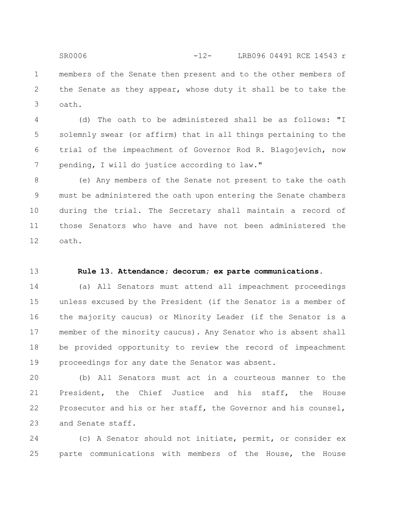members of the Senate then present and to the other members of the Senate as they appear, whose duty it shall be to take the oath. 1 2 3 SR0006 -12- LRB096 04491 RCE 14543 r

(d) The oath to be administered shall be as follows: "I solemnly swear (or affirm) that in all things pertaining to the trial of the impeachment of Governor Rod R. Blagojevich, now pending, I will do justice according to law." 4 5 6 7

(e) Any members of the Senate not present to take the oath must be administered the oath upon entering the Senate chambers during the trial. The Secretary shall maintain a record of those Senators who have and have not been administered the oath. 8 9 10 11 12

13

# **Rule 13. Attendance; decorum; ex parte communications.**

(a) All Senators must attend all impeachment proceedings unless excused by the President (if the Senator is a member of the majority caucus) or Minority Leader (if the Senator is a member of the minority caucus). Any Senator who is absent shall be provided opportunity to review the record of impeachment proceedings for any date the Senator was absent. 14 15 16 17 18 19

(b) All Senators must act in a courteous manner to the President, the Chief Justice and his staff, the House Prosecutor and his or her staff, the Governor and his counsel, and Senate staff. 20 21 22 23

(c) A Senator should not initiate, permit, or consider ex parte communications with members of the House, the House 24 25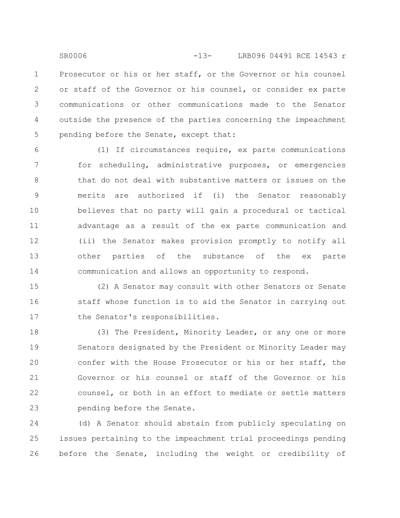Prosecutor or his or her staff, or the Governor or his counsel or staff of the Governor or his counsel, or consider ex parte communications or other communications made to the Senator outside the presence of the parties concerning the impeachment pending before the Senate, except that: 1 2 3 4 5 SR0006 -13- LRB096 04491 RCE 14543 r

(1) If circumstances require, ex parte communications for scheduling, administrative purposes, or emergencies that do not deal with substantive matters or issues on the merits are authorized if (i) the Senator reasonably believes that no party will gain a procedural or tactical advantage as a result of the ex parte communication and (ii) the Senator makes provision promptly to notify all other parties of the substance of the ex parte communication and allows an opportunity to respond. 6 7 8 9 10 11 12 13 14

(2) A Senator may consult with other Senators or Senate staff whose function is to aid the Senator in carrying out the Senator's responsibilities. 15 16 17

(3) The President, Minority Leader, or any one or more Senators designated by the President or Minority Leader may confer with the House Prosecutor or his or her staff, the Governor or his counsel or staff of the Governor or his counsel, or both in an effort to mediate or settle matters pending before the Senate. 18 19 20 21 22 23

(d) A Senator should abstain from publicly speculating on issues pertaining to the impeachment trial proceedings pending before the Senate, including the weight or credibility of 24 25 26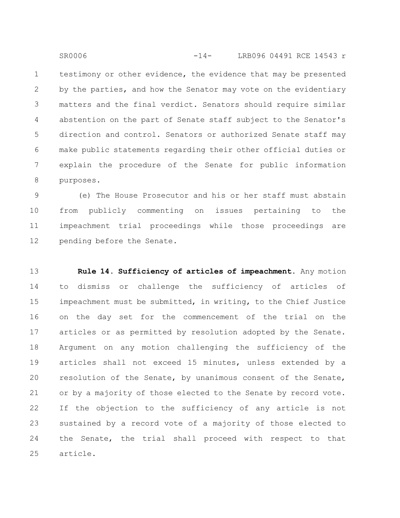testimony or other evidence, the evidence that may be presented by the parties, and how the Senator may vote on the evidentiary matters and the final verdict. Senators should require similar abstention on the part of Senate staff subject to the Senator's direction and control. Senators or authorized Senate staff may make public statements regarding their other official duties or explain the procedure of the Senate for public information purposes. 1 2 3 4 5 6 7 8 SR0006 -14- LRB096 04491 RCE 14543 r

(e) The House Prosecutor and his or her staff must abstain from publicly commenting on issues pertaining to the impeachment trial proceedings while those proceedings are pending before the Senate. 9 10 11 12

**Rule 14. Sufficiency of articles of impeachment.** Any motion to dismiss or challenge the sufficiency of articles of impeachment must be submitted, in writing, to the Chief Justice on the day set for the commencement of the trial on the articles or as permitted by resolution adopted by the Senate. Argument on any motion challenging the sufficiency of the articles shall not exceed 15 minutes, unless extended by a resolution of the Senate, by unanimous consent of the Senate, or by a majority of those elected to the Senate by record vote. If the objection to the sufficiency of any article is not sustained by a record vote of a majority of those elected to the Senate, the trial shall proceed with respect to that article. 13 14 15 16 17 18 19 20 21 22 23 24 25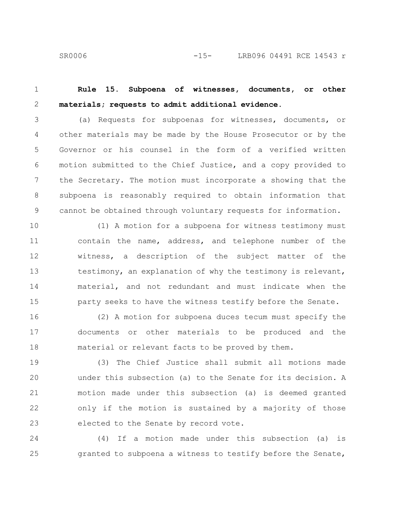SR0006 -15- LRB096 04491 RCE 14543 r

**Rule 15. Subpoena of witnesses, documents, or other materials; requests to admit additional evidence.** 1 2

(a) Requests for subpoenas for witnesses, documents, or other materials may be made by the House Prosecutor or by the Governor or his counsel in the form of a verified written motion submitted to the Chief Justice, and a copy provided to the Secretary. The motion must incorporate a showing that the subpoena is reasonably required to obtain information that cannot be obtained through voluntary requests for information. 3 4 5 6 7 8 9

(1) A motion for a subpoena for witness testimony must contain the name, address, and telephone number of the witness, a description of the subject matter of the testimony, an explanation of why the testimony is relevant, material, and not redundant and must indicate when the party seeks to have the witness testify before the Senate. 10 11 12 13 14 15

(2) A motion for subpoena duces tecum must specify the documents or other materials to be produced and the material or relevant facts to be proved by them. 16 17 18

(3) The Chief Justice shall submit all motions made under this subsection (a) to the Senate for its decision. A motion made under this subsection (a) is deemed granted only if the motion is sustained by a majority of those elected to the Senate by record vote. 19 20 21 22 23

(4) If a motion made under this subsection (a) is granted to subpoena a witness to testify before the Senate, 24 25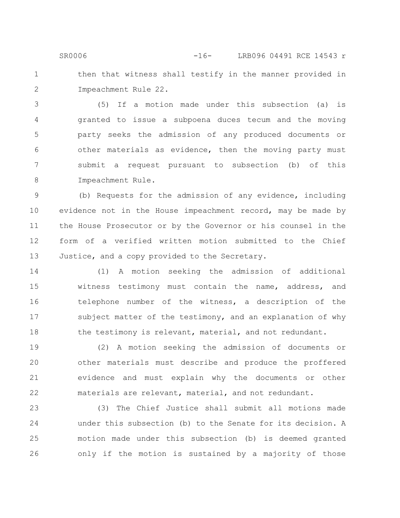then that witness shall testify in the manner provided in Impeachment Rule 22. SR0006 -16- LRB096 04491 RCE 14543 r

1

2

(5) If a motion made under this subsection (a) is granted to issue a subpoena duces tecum and the moving party seeks the admission of any produced documents or other materials as evidence, then the moving party must submit a request pursuant to subsection (b) of this Impeachment Rule. 3 4 5 6 7 8

(b) Requests for the admission of any evidence, including evidence not in the House impeachment record, may be made by the House Prosecutor or by the Governor or his counsel in the form of a verified written motion submitted to the Chief Justice, and a copy provided to the Secretary. 9 10 11 12 13

(1) A motion seeking the admission of additional witness testimony must contain the name, address, and telephone number of the witness, a description of the subject matter of the testimony, and an explanation of why the testimony is relevant, material, and not redundant. 14 15 16 17 18

(2) A motion seeking the admission of documents or other materials must describe and produce the proffered evidence and must explain why the documents or other materials are relevant, material, and not redundant. 19 20 21 22

(3) The Chief Justice shall submit all motions made under this subsection (b) to the Senate for its decision. A motion made under this subsection (b) is deemed granted only if the motion is sustained by a majority of those 23 24 25 26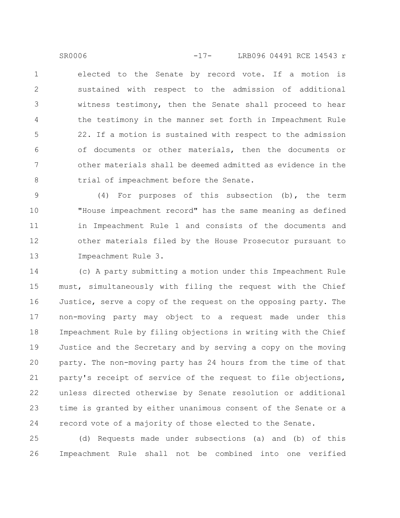elected to the Senate by record vote. If a motion is sustained with respect to the admission of additional witness testimony, then the Senate shall proceed to hear the testimony in the manner set forth in Impeachment Rule 22. If a motion is sustained with respect to the admission of documents or other materials, then the documents or other materials shall be deemed admitted as evidence in the trial of impeachment before the Senate. 1 2 3 4 5 6 7 8 SR0006 -17- LRB096 04491 RCE 14543 r

(4) For purposes of this subsection (b), the term "House impeachment record" has the same meaning as defined in Impeachment Rule 1 and consists of the documents and other materials filed by the House Prosecutor pursuant to Impeachment Rule 3. 9 10 11 12 13

(c) A party submitting a motion under this Impeachment Rule must, simultaneously with filing the request with the Chief Justice, serve a copy of the request on the opposing party. The non-moving party may object to a request made under this Impeachment Rule by filing objections in writing with the Chief Justice and the Secretary and by serving a copy on the moving party. The non-moving party has 24 hours from the time of that party's receipt of service of the request to file objections, unless directed otherwise by Senate resolution or additional time is granted by either unanimous consent of the Senate or a record vote of a majority of those elected to the Senate. 14 15 16 17 18 19 20 21 22 23 24

(d) Requests made under subsections (a) and (b) of this Impeachment Rule shall not be combined into one verified 25 26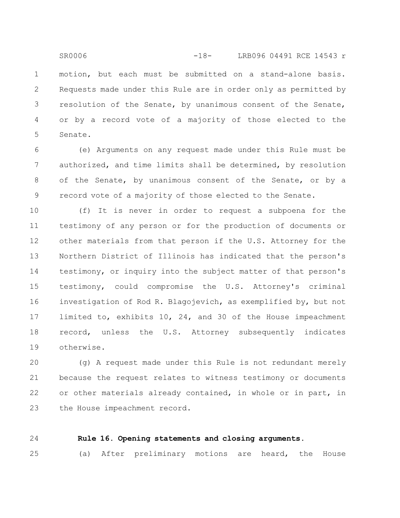motion, but each must be submitted on a stand-alone basis. Requests made under this Rule are in order only as permitted by resolution of the Senate, by unanimous consent of the Senate, or by a record vote of a majority of those elected to the Senate. SR0006 -18- LRB096 04491 RCE 14543 r

(e) Arguments on any request made under this Rule must be authorized, and time limits shall be determined, by resolution of the Senate, by unanimous consent of the Senate, or by a record vote of a majority of those elected to the Senate. 6 7 8 9

(f) It is never in order to request a subpoena for the testimony of any person or for the production of documents or other materials from that person if the U.S. Attorney for the Northern District of Illinois has indicated that the person's testimony, or inquiry into the subject matter of that person's testimony, could compromise the U.S. Attorney's criminal investigation of Rod R. Blagojevich, as exemplified by, but not limited to, exhibits 10, 24, and 30 of the House impeachment record, unless the U.S. Attorney subsequently indicates otherwise. 10 11 12 13 14 15 16 17 18 19

(g) A request made under this Rule is not redundant merely because the request relates to witness testimony or documents or other materials already contained, in whole or in part, in the House impeachment record. 20 21 22 23

24

1

2

3

4

5

# **Rule 16. Opening statements and closing arguments.**

(a) After preliminary motions are heard, the House 25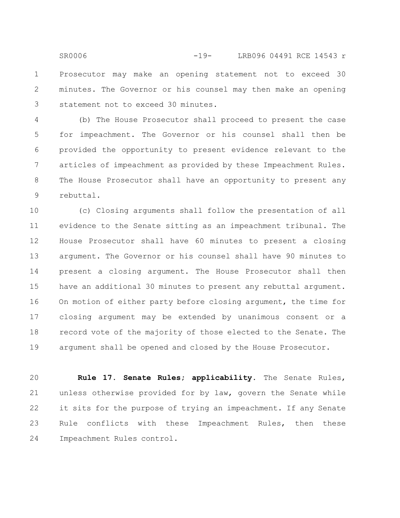Prosecutor may make an opening statement not to exceed 30 minutes. The Governor or his counsel may then make an opening statement not to exceed 30 minutes. 1 2 3 SR0006 -19- LRB096 04491 RCE 14543 r

(b) The House Prosecutor shall proceed to present the case for impeachment. The Governor or his counsel shall then be provided the opportunity to present evidence relevant to the articles of impeachment as provided by these Impeachment Rules. The House Prosecutor shall have an opportunity to present any rebuttal. 4 5 6 7 8 9

(c) Closing arguments shall follow the presentation of all evidence to the Senate sitting as an impeachment tribunal. The House Prosecutor shall have 60 minutes to present a closing argument. The Governor or his counsel shall have 90 minutes to present a closing argument. The House Prosecutor shall then have an additional 30 minutes to present any rebuttal argument. On motion of either party before closing argument, the time for closing argument may be extended by unanimous consent or a record vote of the majority of those elected to the Senate. The argument shall be opened and closed by the House Prosecutor. 10 11 12 13 14 15 16 17 18 19

**Rule 17. Senate Rules; applicability.** The Senate Rules, unless otherwise provided for by law, govern the Senate while it sits for the purpose of trying an impeachment. If any Senate Rule conflicts with these Impeachment Rules, then these Impeachment Rules control. 20 21 22 23 24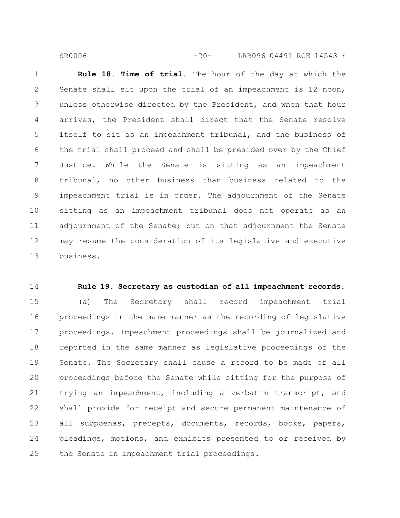**Rule 18. Time of trial.** The hour of the day at which the Senate shall sit upon the trial of an impeachment is 12 noon, unless otherwise directed by the President, and when that hour arrives, the President shall direct that the Senate resolve itself to sit as an impeachment tribunal, and the business of the trial shall proceed and shall be presided over by the Chief Justice. While the Senate is sitting as an impeachment tribunal, no other business than business related to the impeachment trial is in order. The adjournment of the Senate sitting as an impeachment tribunal does not operate as an adjournment of the Senate; but on that adjournment the Senate may resume the consideration of its legislative and executive business. 1 2 3 4 5 6 7 8 9 10 11 12 13

SR0006 -20- LRB096 04491 RCE 14543 r

14

### **Rule 19. Secretary as custodian of all impeachment records.**

(a) The Secretary shall record impeachment trial proceedings in the same manner as the recording of legislative proceedings. Impeachment proceedings shall be journalized and reported in the same manner as legislative proceedings of the Senate. The Secretary shall cause a record to be made of all proceedings before the Senate while sitting for the purpose of trying an impeachment, including a verbatim transcript, and shall provide for receipt and secure permanent maintenance of all subpoenas, precepts, documents, records, books, papers, pleadings, motions, and exhibits presented to or received by the Senate in impeachment trial proceedings. 15 16 17 18 19 20 21 22 23 24 25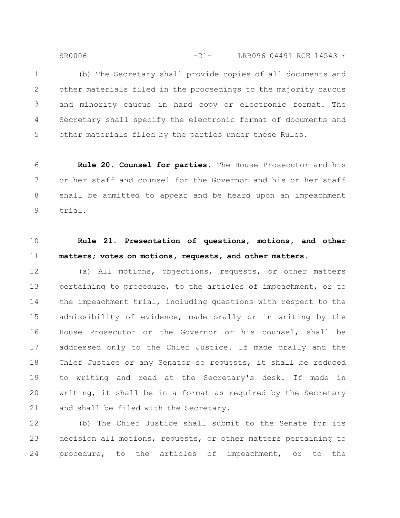(b) The Secretary shall provide copies of all documents and other materials filed in the proceedings to the majority caucus and minority caucus in hard copy or electronic format. The Secretary shall specify the electronic format of documents and other materials filed by the parties under these Rules. 1 2 3 4 5

SR0006 -21- LRB096 04491 RCE 14543 r

**Rule 20. Counsel for parties.** The House Prosecutor and his or her staff and counsel for the Governor and his or her staff shall be admitted to appear and be heard upon an impeachment trial. 6 7 8 9

10

11

# **Rule 21. Presentation of questions, motions, and other matters; votes on motions, requests, and other matters.**

(a) All motions, objections, requests, or other matters pertaining to procedure, to the articles of impeachment, or to the impeachment trial, including questions with respect to the admissibility of evidence, made orally or in writing by the House Prosecutor or the Governor or his counsel, shall be addressed only to the Chief Justice. If made orally and the Chief Justice or any Senator so requests, it shall be reduced to writing and read at the Secretary's desk. If made in writing, it shall be in a format as required by the Secretary and shall be filed with the Secretary. 12 13 14 15 16 17 18 19 20 21

(b) The Chief Justice shall submit to the Senate for its decision all motions, requests, or other matters pertaining to procedure, to the articles of impeachment, or to the 22 23 24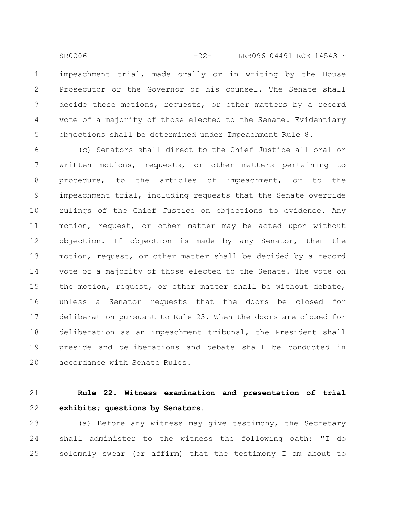impeachment trial, made orally or in writing by the House Prosecutor or the Governor or his counsel. The Senate shall decide those motions, requests, or other matters by a record vote of a majority of those elected to the Senate. Evidentiary objections shall be determined under Impeachment Rule 8. 1 2 3 4 5 SR0006 -22- LRB096 04491 RCE 14543 r

(c) Senators shall direct to the Chief Justice all oral or written motions, requests, or other matters pertaining to procedure, to the articles of impeachment, or to the impeachment trial, including requests that the Senate override rulings of the Chief Justice on objections to evidence. Any motion, request, or other matter may be acted upon without objection. If objection is made by any Senator, then the motion, request, or other matter shall be decided by a record vote of a majority of those elected to the Senate. The vote on the motion, request, or other matter shall be without debate, unless a Senator requests that the doors be closed for deliberation pursuant to Rule 23. When the doors are closed for deliberation as an impeachment tribunal, the President shall preside and deliberations and debate shall be conducted in accordance with Senate Rules. 6 7 8 9 10 11 12 13 14 15 16 17 18 19 20

#### **Rule 22. Witness examination and presentation of trial exhibits; questions by Senators.** 21 22

(a) Before any witness may give testimony, the Secretary shall administer to the witness the following oath: "I do solemnly swear (or affirm) that the testimony I am about to 23 24 25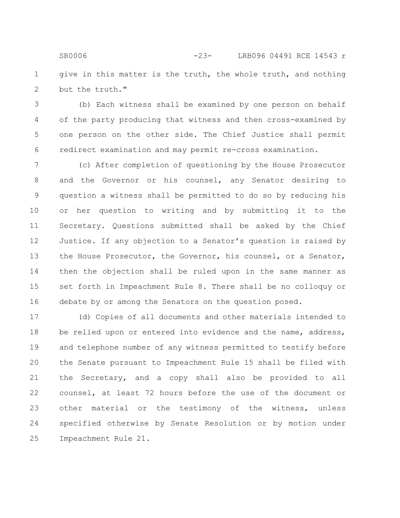give in this matter is the truth, the whole truth, and nothing but the truth." 1 2 SR0006 -23- LRB096 04491 RCE 14543 r

(b) Each witness shall be examined by one person on behalf of the party producing that witness and then cross-examined by one person on the other side. The Chief Justice shall permit redirect examination and may permit re-cross examination. 3 4 5 6

(c) After completion of questioning by the House Prosecutor and the Governor or his counsel, any Senator desiring to question a witness shall be permitted to do so by reducing his or her question to writing and by submitting it to the Secretary. Questions submitted shall be asked by the Chief Justice. If any objection to a Senator's question is raised by the House Prosecutor, the Governor, his counsel, or a Senator, then the objection shall be ruled upon in the same manner as set forth in Impeachment Rule 8. There shall be no colloquy or debate by or among the Senators on the question posed. 7 8 9 10 11 12 13 14 15 16

(d) Copies of all documents and other materials intended to be relied upon or entered into evidence and the name, address, and telephone number of any witness permitted to testify before the Senate pursuant to Impeachment Rule 15 shall be filed with the Secretary, and a copy shall also be provided to all counsel, at least 72 hours before the use of the document or other material or the testimony of the witness, unless specified otherwise by Senate Resolution or by motion under Impeachment Rule 21. 17 18 19 20 21 22 23 24 25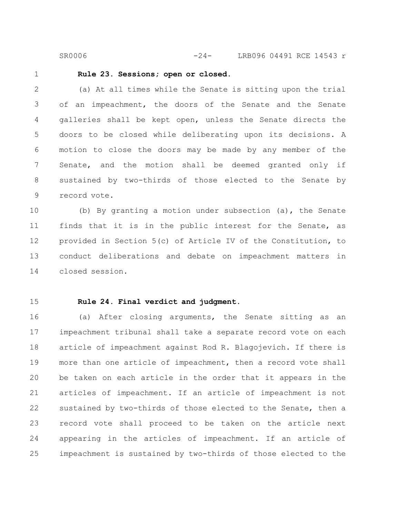SR0006 -24- LRB096 04491 RCE 14543 r

1

# **Rule 23. Sessions; open or closed.**

(a) At all times while the Senate is sitting upon the trial of an impeachment, the doors of the Senate and the Senate galleries shall be kept open, unless the Senate directs the doors to be closed while deliberating upon its decisions. A motion to close the doors may be made by any member of the Senate, and the motion shall be deemed granted only if sustained by two-thirds of those elected to the Senate by record vote. 2 3 4 5 6 7 8 9

(b) By granting a motion under subsection (a), the Senate finds that it is in the public interest for the Senate, as provided in Section 5(c) of Article IV of the Constitution, to conduct deliberations and debate on impeachment matters in closed session. 10 11 12 13 14

15

# **Rule 24. Final verdict and judgment.**

(a) After closing arguments, the Senate sitting as an impeachment tribunal shall take a separate record vote on each article of impeachment against Rod R. Blagojevich. If there is more than one article of impeachment, then a record vote shall be taken on each article in the order that it appears in the articles of impeachment. If an article of impeachment is not sustained by two-thirds of those elected to the Senate, then a record vote shall proceed to be taken on the article next appearing in the articles of impeachment. If an article of impeachment is sustained by two-thirds of those elected to the 16 17 18 19 20 21 22 23 24 25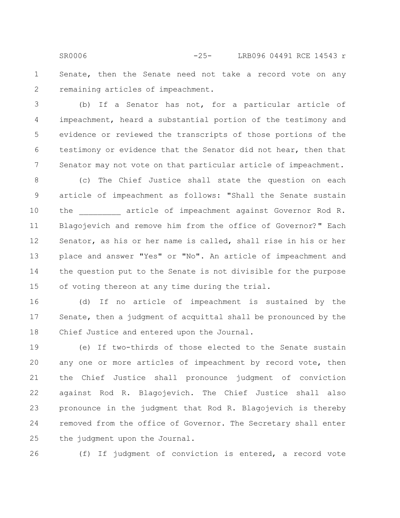Senate, then the Senate need not take a record vote on any remaining articles of impeachment. SR0006 -25- LRB096 04491 RCE 14543 r

(b) If a Senator has not, for a particular article of impeachment, heard a substantial portion of the testimony and evidence or reviewed the transcripts of those portions of the testimony or evidence that the Senator did not hear, then that Senator may not vote on that particular article of impeachment. 3 4 5 6 7

(c) The Chief Justice shall state the question on each article of impeachment as follows: "Shall the Senate sustain the article of impeachment against Governor Rod R. Blagojevich and remove him from the office of Governor?" Each Senator, as his or her name is called, shall rise in his or her place and answer "Yes" or "No". An article of impeachment and the question put to the Senate is not divisible for the purpose of voting thereon at any time during the trial. 8 9 10 11 12 13 14 15

(d) If no article of impeachment is sustained by the Senate, then a judgment of acquittal shall be pronounced by the Chief Justice and entered upon the Journal. 16 17 18

(e) If two-thirds of those elected to the Senate sustain any one or more articles of impeachment by record vote, then the Chief Justice shall pronounce judgment of conviction against Rod R. Blagojevich. The Chief Justice shall also pronounce in the judgment that Rod R. Blagojevich is thereby removed from the office of Governor. The Secretary shall enter the judgment upon the Journal. 19 20 21 22 23 24 25

26

(f) If judgment of conviction is entered, a record vote

1

2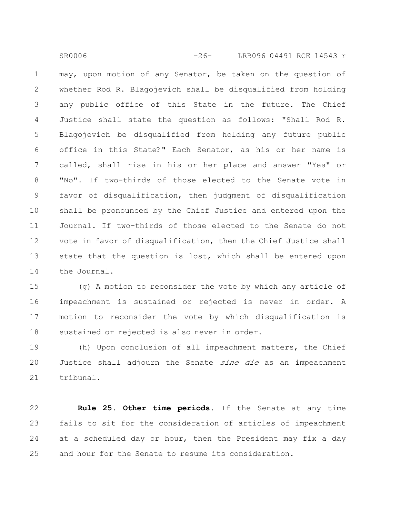may, upon motion of any Senator, be taken on the question of whether Rod R. Blagojevich shall be disqualified from holding any public office of this State in the future. The Chief Justice shall state the question as follows: "Shall Rod R. Blagojevich be disqualified from holding any future public office in this State?" Each Senator, as his or her name is called, shall rise in his or her place and answer "Yes" or "No". If two-thirds of those elected to the Senate vote in favor of disqualification, then judgment of disqualification shall be pronounced by the Chief Justice and entered upon the Journal. If two-thirds of those elected to the Senate do not vote in favor of disqualification, then the Chief Justice shall state that the question is lost, which shall be entered upon the Journal. 1 2 3 4 5 6 7 8 9 10 11 12 13 14

SR0006 -26- LRB096 04491 RCE 14543 r

(g) A motion to reconsider the vote by which any article of impeachment is sustained or rejected is never in order. A motion to reconsider the vote by which disqualification is sustained or rejected is also never in order. 15 16 17 18

(h) Upon conclusion of all impeachment matters, the Chief Justice shall adjourn the Senate *sine die* as an impeachment tribunal. 19 20 21

**Rule 25. Other time periods.** If the Senate at any time fails to sit for the consideration of articles of impeachment at a scheduled day or hour, then the President may fix a day and hour for the Senate to resume its consideration. 22 23 24 25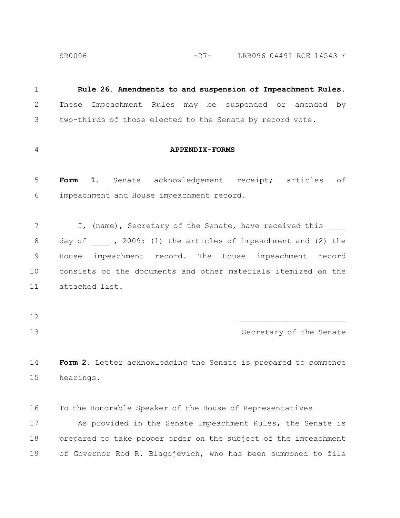SR0006 -27- LRB096 04491 RCE 14543 r

**Rule 26. Amendments to and suspension of Impeachment Rules.** These Impeachment Rules may be suspended or amended by two-thirds of those elected to the Senate by record vote. **APPENDIX-FORMS** Form 1. Senate acknowledgement receipt; articles of impeachment and House impeachment record. I, (name), Secretary of the Senate, have received this day of  $\qquad$ , 2009: (1) the articles of impeachment and (2) the House impeachment record. The House impeachment record consists of the documents and other materials itemized on the attached list.  $\mathcal{L}_\text{max}$ Secretary of the Senate **Form 2.** Letter acknowledging the Senate is prepared to commence hearings. To the Honorable Speaker of the House of Representatives As provided in the Senate Impeachment Rules, the Senate is prepared to take proper order on the subject of the impeachment 1 2 3 4 5 6 7 8 9 10 11 12 13 14 15 16 17 18

of Governor Rod R. Blagojevich, who has been summoned to file 19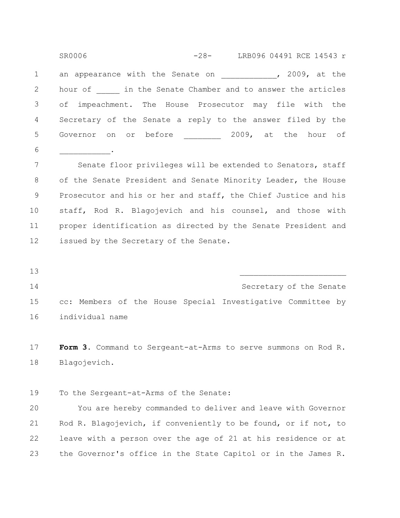an appearance with the Senate on Theorem 1, 2009, at the hour of **Langter in the Senate Chamber and to answer the articles** of impeachment. The House Prosecutor may file with the Secretary of the Senate a reply to the answer filed by the Governor on or before 1009, at the hour of  $\mathcal{L}$  and  $\mathcal{L}$ Senate floor privileges will be extended to Senators, staff of the Senate President and Senate Minority Leader, the House Prosecutor and his or her and staff, the Chief Justice and his staff, Rod R. Blagojevich and his counsel, and those with proper identification as directed by the Senate President and issued by the Secretary of the Senate.  $\mathcal{L}_\text{max}$ 1 2 3 4 5 6 7 8 9 10 11 12 13 SR0006 -28- LRB096 04491 RCE 14543 r

14

Secretary of the Senate cc: Members of the House Special Investigative Committee by individual name 15 16

**Form 3.** Command to Sergeant-at-Arms to serve summons on Rod R. Blagojevich. 17 18

To the Sergeant-at-Arms of the Senate: 19

You are hereby commanded to deliver and leave with Governor Rod R. Blagojevich, if conveniently to be found, or if not, to leave with a person over the age of 21 at his residence or at the Governor's office in the State Capitol or in the James R. 20 21 22 23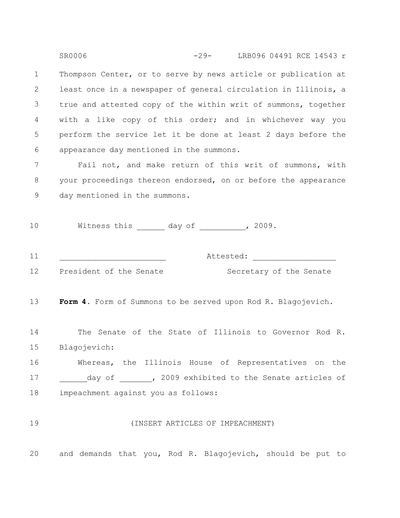Thompson Center, or to serve by news article or publication at least once in a newspaper of general circulation in Illinois, a true and attested copy of the within writ of summons, together with a like copy of this order; and in whichever way you perform the service let it be done at least 2 days before the appearance day mentioned in the summons. 1 2 3 4 5 6 SR0006 -29- LRB096 04491 RCE 14543 r

Fail not, and make return of this writ of summons, with your proceedings thereon endorsed, on or before the appearance day mentioned in the summons. 7 8 9

Witness this \_\_\_\_\_\_\_ day of \_\_\_\_\_\_\_\_\_, 2009. 10

| - -<br>-- - | $\overline{ }$<br>$+$ $\sim$ $\sim$<br>$\overline{\phantom{a}}$<br>ALLCOLCU. |  |
|-------------|------------------------------------------------------------------------------|--|
|             |                                                                              |  |

12

President of the Senate Secretary of the Senate

Form 4. Form of Summons to be served upon Rod R. Blagojevich. 13

The Senate of the State of Illinois to Governor Rod R. Blagojevich: 14 15

Whereas, the Illinois House of Representatives on the day of \_\_\_\_\_\_, 2009 exhibited to the Senate articles of impeachment against you as follows: 16 17 18

19

#### (INSERT ARTICLES OF IMPEACHMENT)

and demands that you, Rod R. Blagojevich, should be put to 20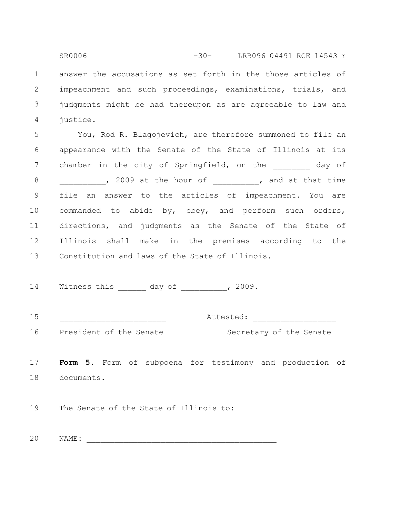answer the accusations as set forth in the those articles of impeachment and such proceedings, examinations, trials, and judgments might be had thereupon as are agreeable to law and justice. 1 2 3 4 SR0006 -30- LRB096 04491 RCE 14543 r

You, Rod R. Blagojevich, are therefore summoned to file an appearance with the Senate of the State of Illinois at its chamber in the city of Springfield, on the day of , 2009 at the hour of  $\qquad \qquad$  , and at that time file an answer to the articles of impeachment. You are commanded to abide by, obey, and perform such orders, directions, and judgments as the Senate of the State of Illinois shall make in the premises according to the Constitution and laws of the State of Illinois. 5 6 7 8 9 10 11 12 13

Witness this day of the 2009. 14

| $\sim$ $\sim$<br>. .<br><b>__</b><br>__ |  |  |
|-----------------------------------------|--|--|
|                                         |  |  |
|                                         |  |  |

16

President of the Senate Secretary of the Senate

**Form 5.** Form of subpoena for testimony and production of documents. 17 18

The Senate of the State of Illinois to: 19

 $NAME:$ 20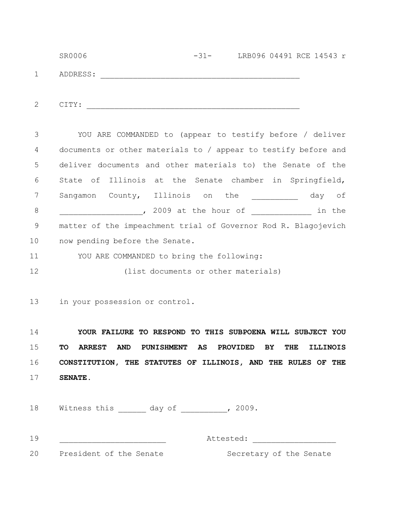|              | SR0006   | $-31-$ | LRB096 04491 RCE 14543 r |
|--------------|----------|--------|--------------------------|
|              | ADDRESS: |        |                          |
|              |          |        |                          |
| $\mathbf{2}$ | CITY:    |        |                          |

YOU ARE COMMANDED to (appear to testify before / deliver documents or other materials to / appear to testify before and deliver documents and other materials to) the Senate of the State of Illinois at the Senate chamber in Springfield, Sangamon County, Illinois on the and day of , 2009 at the hour of the in the matter of the impeachment trial of Governor Rod R. Blagojevich now pending before the Senate. 3 4 5 6 7 8 9 10

YOU ARE COMMANDED to bring the following: 11

(list documents or other materials) 12

in your possession or control. 13

**YOUR FAILURE TO RESPOND TO THIS SUBPOENA WILL SUBJECT YOU TO ARREST AND PUNISHMENT AS PROVIDED BY THE ILLINOIS CONSTITUTION, THE STATUTES OF ILLINOIS, AND THE RULES OF THE SENATE.** 14 15 16 17

Witness this \_\_\_\_\_\_\_ day of \_\_\_\_\_\_\_\_\_, 2009. 18

19

Attested:

20 President of the Senate

Secretary of the Senate